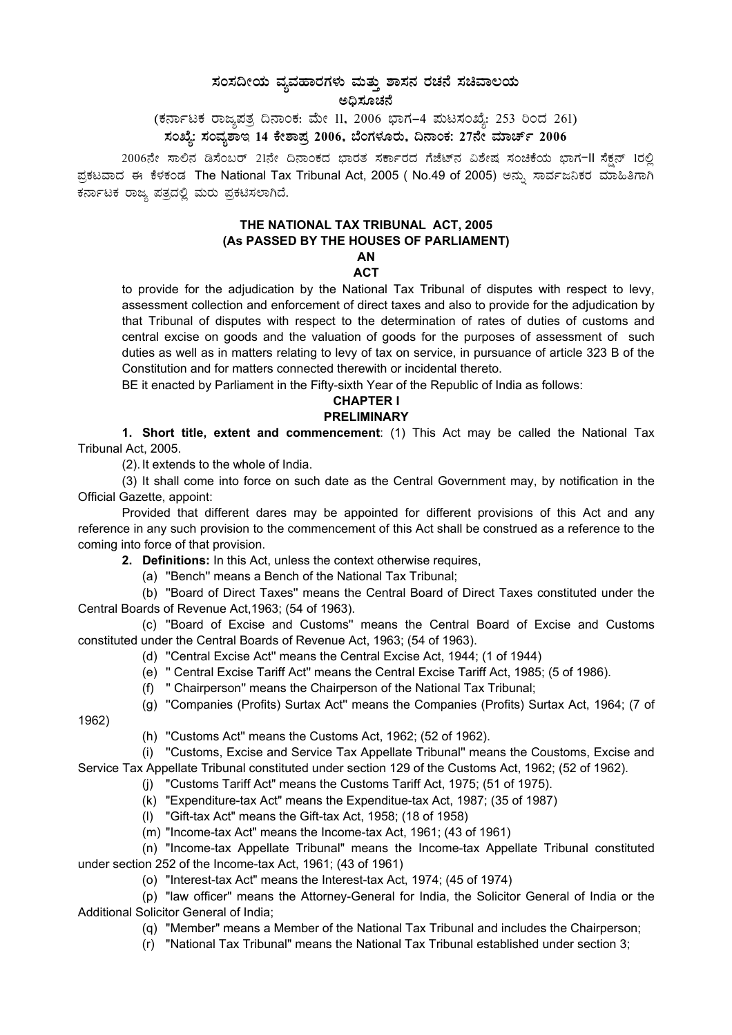# $\bm{z}$ ನಂಸದೀಯ ವ್ಯವಹಾರಗಳು ಮತ್ತು ಶಾಸನ ರಚನೆ ಸಚಿವಾಲಯ ಅಧಿಸೂಚನೆ

(ಕರ್ನಾಟಕ ರಾಜ್ಯಪತ್ರ ದಿನಾಂಕ: ಮೇ 11, 2006 ಭಾಗ–4 ಮಟಸಂಖ್ಯೆ: 253 ರಿಂದ 261) ಸಂಖ್ಯೆ: ಸಂವ್ಯಶಾಇ 14 ಕೇಶಾಪ್ರ 2006, ಬೆಂಗಳೂರು, ದಿನಾಂಕ: 27ನೇ ಮಾರ್ಚ್ 2006

2006ನೇ ಸಾಲಿನ ಡಿಸೆಂಬರ್ 21ನೇ ದಿನಾಂಕದ ಭಾರತ ಸರ್ಕಾರದ ಗೆಜೆಟ್ನ ವಿಶೇಷ ಸಂಚಿಕೆಯ ಭಾಗ-II ಸೆಕ್ಷನ್ 1ರಲ್ಲಿ ಪ್ರಕಟವಾದ ಈ ಕೆಳಕಂಡ The National Tax Tribunal Act, 2005 ( No.49 of 2005) ಅನ್ಸು ಸಾರ್ವಜನಿಕರ ಮಾಹಿತಿಗಾಗಿ ಕರ್ನಾಟಕ ರಾಜ್ಯ ಪತ್ರದಲ್ಲಿ ಮರು ಪ್ರಕಟಿಸಲಾಗಿದೆ.

#### **THE NATIONAL TAX TRIBUNAL ACT, 2005 (As PASSED BY THE HOUSES OF PARLIAMENT) AN**

## **ACT**

to provide for the adjudication by the National Tax Tribunal of disputes with respect to levy, assessment collection and enforcement of direct taxes and also to provide for the adjudication by that Tribunal of disputes with respect to the determination of rates of duties of customs and central excise on goods and the valuation of goods for the purposes of assessment of such duties as well as in matters relating to levy of tax on service, in pursuance of article 323 B of the Constitution and for matters connected therewith or incidental thereto.

BE it enacted by Parliament in the Fifty-sixth Year of the Republic of India as follows:

#### **CHAPTER I PRELIMINARY**

**1. Short title, extent and commencement**: (1) This Act may be called the National Tax Tribunal Act, 2005.

(2). It extends to the whole of India.

(3) It shall come into force on such date as the Central Government may, by notification in the Official Gazette, appoint:

Provided that different dares may be appointed for different provisions of this Act and any reference in any such provision to the commencement of this Act shall be construed as a reference to the coming into force of that provision.

**2. Definitions:** In this Act, unless the context otherwise requires,

(a) ''Bench'' means a Bench of the National Tax Tribunal;

(b) ''Board of Direct Taxes'' means the Central Board of Direct Taxes constituted under the Central Boards of Revenue Act,1963; (54 of 1963).

(c) ''Board of Excise and Customs'' means the Central Board of Excise and Customs constituted under the Central Boards of Revenue Act, 1963; (54 of 1963).

(d) ''Central Excise Act'' means the Central Excise Act, 1944; (1 of 1944)

- (e) '' Central Excise Tariff Act'' means the Central Excise Tariff Act, 1985; (5 of 1986).
- (f) '' Chairperson'' means the Chairperson of the National Tax Tribunal;
- (g) ''Companies (Profits) Surtax Act'' means the Companies (Profits) Surtax Act, 1964; (7 of

1962)

(h) ''Customs Act'' means the Customs Act, 1962; (52 of 1962).

(i) ''Customs, Excise and Service Tax Appellate Tribunal'' means the Coustoms, Excise and Service Tax Appellate Tribunal constituted under section 129 of the Customs Act, 1962; (52 of 1962).

(j) "Customs Tariff Act" means the Customs Tariff Act, 1975; (51 of 1975).

- (k) "Expenditure-tax Act" means the Expenditue-tax Act, 1987; (35 of 1987)
- (l) "Gift-tax Act" means the Gift-tax Act, 1958; (18 of 1958)
- (m) "Income-tax Act" means the Income-tax Act, 1961; (43 of 1961)

(n) "Income-tax Appellate Tribunal" means the Income-tax Appellate Tribunal constituted under section 252 of the Income-tax Act, 1961; (43 of 1961)

(o) "Interest-tax Act" means the Interest-tax Act, 1974; (45 of 1974)

(p) "law officer" means the Attorney-General for India, the Solicitor General of India or the Additional Solicitor General of India;

(q) "Member" means a Member of the National Tax Tribunal and includes the Chairperson;

(r) "National Tax Tribunal" means the National Tax Tribunal established under section 3;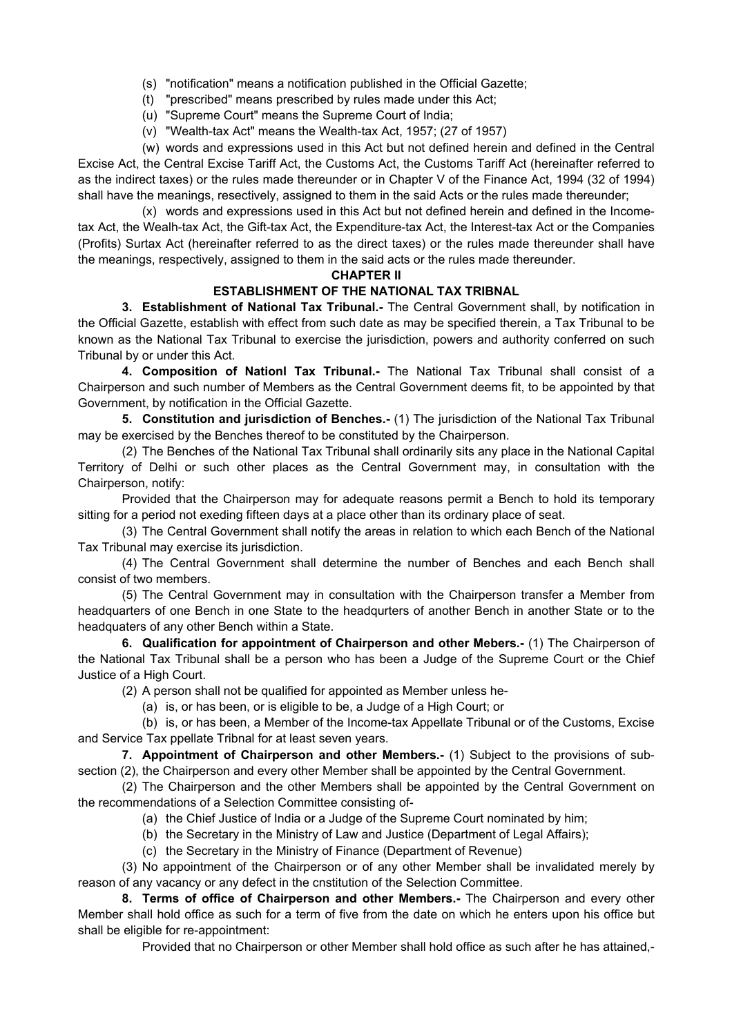- (s) "notification" means a notification published in the Official Gazette;
- (t) "prescribed" means prescribed by rules made under this Act;
- (u) "Supreme Court" means the Supreme Court of India;
- (v) "Wealth-tax Act" means the Wealth-tax Act, 1957; (27 of 1957)

(w) words and expressions used in this Act but not defined herein and defined in the Central Excise Act, the Central Excise Tariff Act, the Customs Act, the Customs Tariff Act (hereinafter referred to as the indirect taxes) or the rules made thereunder or in Chapter V of the Finance Act, 1994 (32 of 1994) shall have the meanings, resectively, assigned to them in the said Acts or the rules made thereunder;

(x) words and expressions used in this Act but not defined herein and defined in the Incometax Act, the Wealh-tax Act, the Gift-tax Act, the Expenditure-tax Act, the Interest-tax Act or the Companies (Profits) Surtax Act (hereinafter referred to as the direct taxes) or the rules made thereunder shall have the meanings, respectively, assigned to them in the said acts or the rules made thereunder.

#### **CHAPTER II**

## **ESTABLISHMENT OF THE NATIONAL TAX TRIBNAL**

**3. Establishment of National Tax Tribunal.-** The Central Government shall, by notification in the Official Gazette, establish with effect from such date as may be specified therein, a Tax Tribunal to be known as the National Tax Tribunal to exercise the jurisdiction, powers and authority conferred on such Tribunal by or under this Act.

**4. Composition of Nationl Tax Tribunal.-** The National Tax Tribunal shall consist of a Chairperson and such number of Members as the Central Government deems fit, to be appointed by that Government, by notification in the Official Gazette.

**5. Constitution and jurisdiction of Benches.-** (1) The jurisdiction of the National Tax Tribunal may be exercised by the Benches thereof to be constituted by the Chairperson.

(2) The Benches of the National Tax Tribunal shall ordinarily sits any place in the National Capital Territory of Delhi or such other places as the Central Government may, in consultation with the Chairperson, notify:

Provided that the Chairperson may for adequate reasons permit a Bench to hold its temporary sitting for a period not exeding fifteen days at a place other than its ordinary place of seat.

(3) The Central Government shall notify the areas in relation to which each Bench of the National Tax Tribunal may exercise its jurisdiction.

(4) The Central Government shall determine the number of Benches and each Bench shall consist of two members.

(5) The Central Government may in consultation with the Chairperson transfer a Member from headquarters of one Bench in one State to the headqurters of another Bench in another State or to the headquaters of any other Bench within a State.

**6. Qualification for appointment of Chairperson and other Mebers.-** (1) The Chairperson of the National Tax Tribunal shall be a person who has been a Judge of the Supreme Court or the Chief Justice of a High Court.

(2) A person shall not be qualified for appointed as Member unless he-

(a) is, or has been, or is eligible to be, a Judge of a High Court; or

(b) is, or has been, a Member of the Income-tax Appellate Tribunal or of the Customs, Excise and Service Tax ppellate Tribnal for at least seven years.

**7. Appointment of Chairperson and other Members.-** (1) Subject to the provisions of subsection (2), the Chairperson and every other Member shall be appointed by the Central Government.

(2) The Chairperson and the other Members shall be appointed by the Central Government on the recommendations of a Selection Committee consisting of-

- (a) the Chief Justice of India or a Judge of the Supreme Court nominated by him;
- (b) the Secretary in the Ministry of Law and Justice (Department of Legal Affairs);
- (c) the Secretary in the Ministry of Finance (Department of Revenue)

(3) No appointment of the Chairperson or of any other Member shall be invalidated merely by reason of any vacancy or any defect in the cnstitution of the Selection Committee.

**8. Terms of office of Chairperson and other Members.-** The Chairperson and every other Member shall hold office as such for a term of five from the date on which he enters upon his office but shall be eligible for re-appointment:

Provided that no Chairperson or other Member shall hold office as such after he has attained,-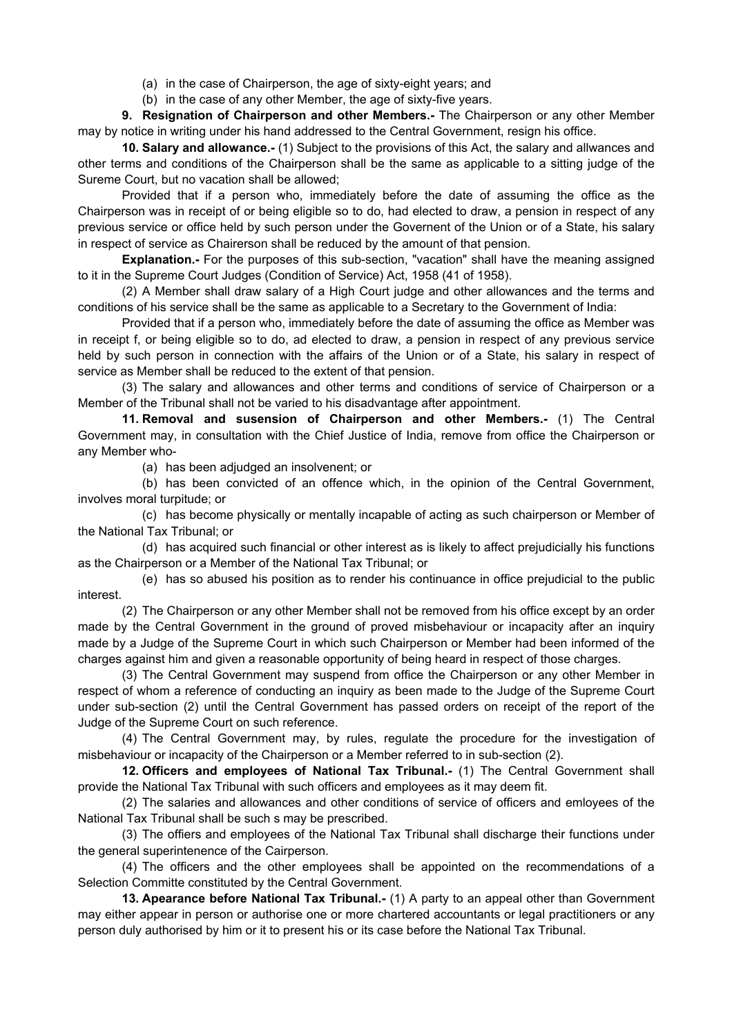(a) in the case of Chairperson, the age of sixty-eight years; and

(b) in the case of any other Member, the age of sixty-five years.

**9. Resignation of Chairperson and other Members.-** The Chairperson or any other Member may by notice in writing under his hand addressed to the Central Government, resign his office.

**10. Salary and allowance.-** (1) Subject to the provisions of this Act, the salary and allwances and other terms and conditions of the Chairperson shall be the same as applicable to a sitting judge of the Sureme Court, but no vacation shall be allowed;

Provided that if a person who, immediately before the date of assuming the office as the Chairperson was in receipt of or being eligible so to do, had elected to draw, a pension in respect of any previous service or office held by such person under the Governent of the Union or of a State, his salary in respect of service as Chairerson shall be reduced by the amount of that pension.

**Explanation.-** For the purposes of this sub-section, "vacation" shall have the meaning assigned to it in the Supreme Court Judges (Condition of Service) Act, 1958 (41 of 1958).

(2) A Member shall draw salary of a High Court judge and other allowances and the terms and conditions of his service shall be the same as applicable to a Secretary to the Government of India:

Provided that if a person who, immediately before the date of assuming the office as Member was in receipt f, or being eligible so to do, ad elected to draw, a pension in respect of any previous service held by such person in connection with the affairs of the Union or of a State, his salary in respect of service as Member shall be reduced to the extent of that pension.

(3) The salary and allowances and other terms and conditions of service of Chairperson or a Member of the Tribunal shall not be varied to his disadvantage after appointment.

**11. Removal and susension of Chairperson and other Members.-** (1) The Central Government may, in consultation with the Chief Justice of India, remove from office the Chairperson or any Member who-

(a) has been adjudged an insolvenent; or

(b) has been convicted of an offence which, in the opinion of the Central Government, involves moral turpitude; or

(c) has become physically or mentally incapable of acting as such chairperson or Member of the National Tax Tribunal; or

(d) has acquired such financial or other interest as is likely to affect prejudicially his functions as the Chairperson or a Member of the National Tax Tribunal; or

(e) has so abused his position as to render his continuance in office prejudicial to the public interest.

(2) The Chairperson or any other Member shall not be removed from his office except by an order made by the Central Government in the ground of proved misbehaviour or incapacity after an inquiry made by a Judge of the Supreme Court in which such Chairperson or Member had been informed of the charges against him and given a reasonable opportunity of being heard in respect of those charges.

(3) The Central Government may suspend from office the Chairperson or any other Member in respect of whom a reference of conducting an inquiry as been made to the Judge of the Supreme Court under sub-section (2) until the Central Government has passed orders on receipt of the report of the Judge of the Supreme Court on such reference.

(4) The Central Government may, by rules, regulate the procedure for the investigation of misbehaviour or incapacity of the Chairperson or a Member referred to in sub-section (2).

**12. Officers and employees of National Tax Tribunal.-** (1) The Central Government shall provide the National Tax Tribunal with such officers and employees as it may deem fit.

(2) The salaries and allowances and other conditions of service of officers and emloyees of the National Tax Tribunal shall be such s may be prescribed.

(3) The offiers and employees of the National Tax Tribunal shall discharge their functions under the general superintenence of the Cairperson.

(4) The officers and the other employees shall be appointed on the recommendations of a Selection Committe constituted by the Central Government.

**13. Apearance before National Tax Tribunal.-** (1) A party to an appeal other than Government may either appear in person or authorise one or more chartered accountants or legal practitioners or any person duly authorised by him or it to present his or its case before the National Tax Tribunal.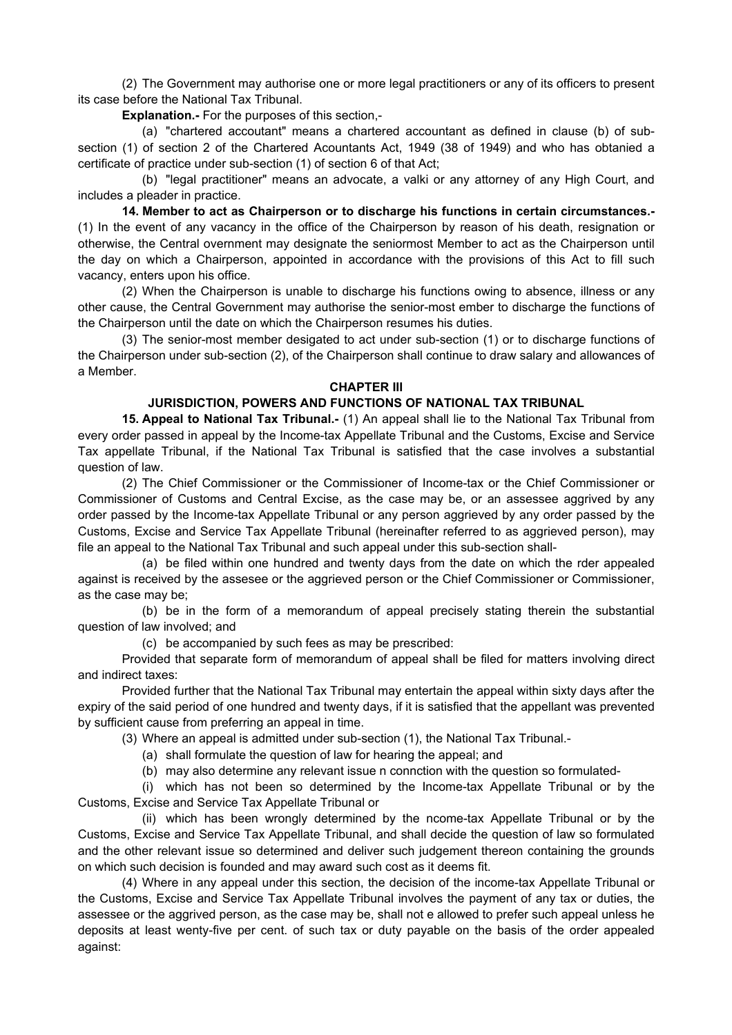(2) The Government may authorise one or more legal practitioners or any of its officers to present its case before the National Tax Tribunal.

**Explanation.-** For the purposes of this section,-

(a) "chartered accoutant" means a chartered accountant as defined in clause (b) of subsection (1) of section 2 of the Chartered Acountants Act, 1949 (38 of 1949) and who has obtanied a certificate of practice under sub-section (1) of section 6 of that Act;

(b) "legal practitioner" means an advocate, a valki or any attorney of any High Court, and includes a pleader in practice.

**14. Member to act as Chairperson or to discharge his functions in certain circumstances.-** (1) In the event of any vacancy in the office of the Chairperson by reason of his death, resignation or otherwise, the Central overnment may designate the seniormost Member to act as the Chairperson until the day on which a Chairperson, appointed in accordance with the provisions of this Act to fill such vacancy, enters upon his office.

(2) When the Chairperson is unable to discharge his functions owing to absence, illness or any other cause, the Central Government may authorise the senior-most ember to discharge the functions of the Chairperson until the date on which the Chairperson resumes his duties.

(3) The senior-most member desigated to act under sub-section (1) or to discharge functions of the Chairperson under sub-section (2), of the Chairperson shall continue to draw salary and allowances of a Member.

#### **CHAPTER III**

## **JURISDICTION, POWERS AND FUNCTIONS OF NATIONAL TAX TRIBUNAL**

**15. Appeal to National Tax Tribunal.-** (1) An appeal shall lie to the National Tax Tribunal from every order passed in appeal by the Income-tax Appellate Tribunal and the Customs, Excise and Service Tax appellate Tribunal, if the National Tax Tribunal is satisfied that the case involves a substantial question of law.

(2) The Chief Commissioner or the Commissioner of Income-tax or the Chief Commissioner or Commissioner of Customs and Central Excise, as the case may be, or an assessee aggrived by any order passed by the Income-tax Appellate Tribunal or any person aggrieved by any order passed by the Customs, Excise and Service Tax Appellate Tribunal (hereinafter referred to as aggrieved person), may file an appeal to the National Tax Tribunal and such appeal under this sub-section shall-

(a) be filed within one hundred and twenty days from the date on which the rder appealed against is received by the assesee or the aggrieved person or the Chief Commissioner or Commissioner, as the case may be;

(b) be in the form of a memorandum of appeal precisely stating therein the substantial question of law involved; and

(c) be accompanied by such fees as may be prescribed:

Provided that separate form of memorandum of appeal shall be filed for matters involving direct and indirect taxes:

Provided further that the National Tax Tribunal may entertain the appeal within sixty days after the expiry of the said period of one hundred and twenty days, if it is satisfied that the appellant was prevented by sufficient cause from preferring an appeal in time.

(3) Where an appeal is admitted under sub-section (1), the National Tax Tribunal.-

- (a) shall formulate the question of law for hearing the appeal; and
- (b) may also determine any relevant issue n connction with the question so formulated-

(i) which has not been so determined by the Income-tax Appellate Tribunal or by the Customs, Excise and Service Tax Appellate Tribunal or

(ii) which has been wrongly determined by the ncome-tax Appellate Tribunal or by the Customs, Excise and Service Tax Appellate Tribunal, and shall decide the question of law so formulated and the other relevant issue so determined and deliver such judgement thereon containing the grounds on which such decision is founded and may award such cost as it deems fit.

(4) Where in any appeal under this section, the decision of the income-tax Appellate Tribunal or the Customs, Excise and Service Tax Appellate Tribunal involves the payment of any tax or duties, the assessee or the aggrived person, as the case may be, shall not e allowed to prefer such appeal unless he deposits at least wenty-five per cent. of such tax or duty payable on the basis of the order appealed against: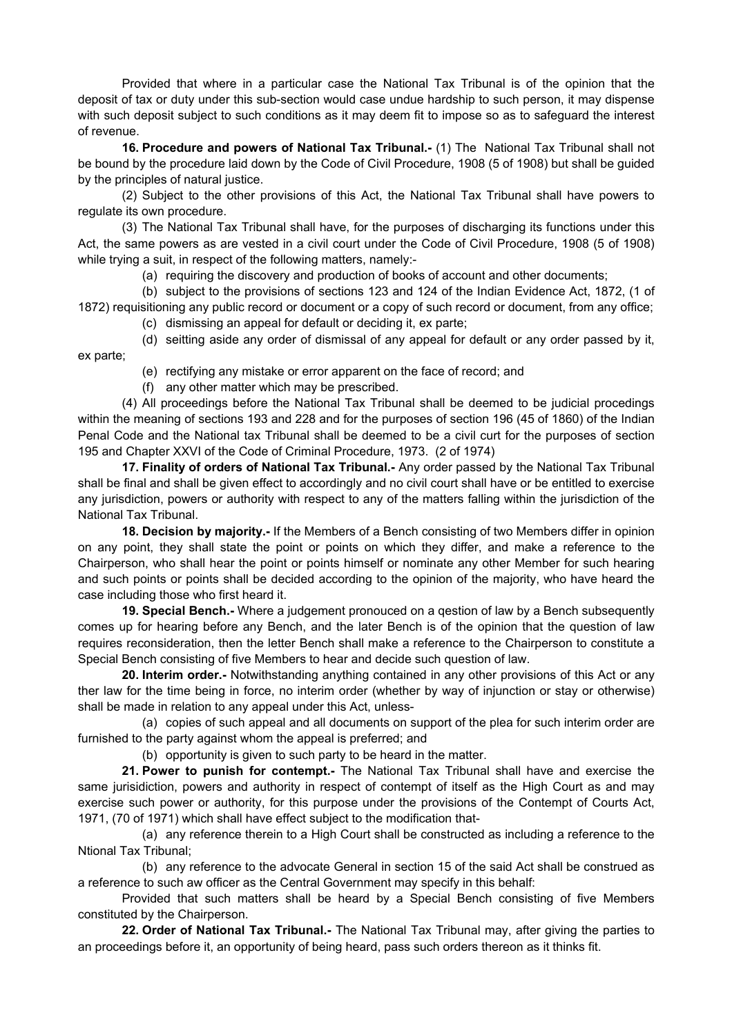Provided that where in a particular case the National Tax Tribunal is of the opinion that the deposit of tax or duty under this sub-section would case undue hardship to such person, it may dispense with such deposit subject to such conditions as it may deem fit to impose so as to safeguard the interest of revenue.

**16. Procedure and powers of National Tax Tribunal.-** (1) The National Tax Tribunal shall not be bound by the procedure laid down by the Code of Civil Procedure, 1908 (5 of 1908) but shall be guided by the principles of natural justice.

(2) Subject to the other provisions of this Act, the National Tax Tribunal shall have powers to regulate its own procedure.

(3) The National Tax Tribunal shall have, for the purposes of discharging its functions under this Act, the same powers as are vested in a civil court under the Code of Civil Procedure, 1908 (5 of 1908) while trying a suit, in respect of the following matters, namely:-

(a) requiring the discovery and production of books of account and other documents;

(b) subject to the provisions of sections 123 and 124 of the Indian Evidence Act, 1872, (1 of 1872) requisitioning any public record or document or a copy of such record or document, from any office;

(c) dismissing an appeal for default or deciding it, ex parte;

(d) seitting aside any order of dismissal of any appeal for default or any order passed by it, ex parte;

- (e) rectifying any mistake or error apparent on the face of record; and
- (f) any other matter which may be prescribed.

(4) All proceedings before the National Tax Tribunal shall be deemed to be judicial procedings within the meaning of sections 193 and 228 and for the purposes of section 196 (45 of 1860) of the Indian Penal Code and the National tax Tribunal shall be deemed to be a civil curt for the purposes of section 195 and Chapter XXVI of the Code of Criminal Procedure, 1973. (2 of 1974)

**17. Finality of orders of National Tax Tribunal.-** Any order passed by the National Tax Tribunal shall be final and shall be given effect to accordingly and no civil court shall have or be entitled to exercise any jurisdiction, powers or authority with respect to any of the matters falling within the jurisdiction of the National Tax Tribunal.

**18. Decision by majority.-** If the Members of a Bench consisting of two Members differ in opinion on any point, they shall state the point or points on which they differ, and make a reference to the Chairperson, who shall hear the point or points himself or nominate any other Member for such hearing and such points or points shall be decided according to the opinion of the majority, who have heard the case including those who first heard it.

**19. Special Bench.-** Where a judgement pronouced on a qestion of law by a Bench subsequently comes up for hearing before any Bench, and the later Bench is of the opinion that the question of law requires reconsideration, then the letter Bench shall make a reference to the Chairperson to constitute a Special Bench consisting of five Members to hear and decide such question of law.

**20. Interim order.-** Notwithstanding anything contained in any other provisions of this Act or any ther law for the time being in force, no interim order (whether by way of injunction or stay or otherwise) shall be made in relation to any appeal under this Act, unless-

(a) copies of such appeal and all documents on support of the plea for such interim order are furnished to the party against whom the appeal is preferred; and

(b) opportunity is given to such party to be heard in the matter.

**21. Power to punish for contempt.-** The National Tax Tribunal shall have and exercise the same jurisidiction, powers and authority in respect of contempt of itself as the High Court as and may exercise such power or authority, for this purpose under the provisions of the Contempt of Courts Act, 1971, (70 of 1971) which shall have effect subject to the modification that-

(a) any reference therein to a High Court shall be constructed as including a reference to the Ntional Tax Tribunal;

(b) any reference to the advocate General in section 15 of the said Act shall be construed as a reference to such aw officer as the Central Government may specify in this behalf:

Provided that such matters shall be heard by a Special Bench consisting of five Members constituted by the Chairperson.

**22. Order of National Tax Tribunal.-** The National Tax Tribunal may, after giving the parties to an proceedings before it, an opportunity of being heard, pass such orders thereon as it thinks fit.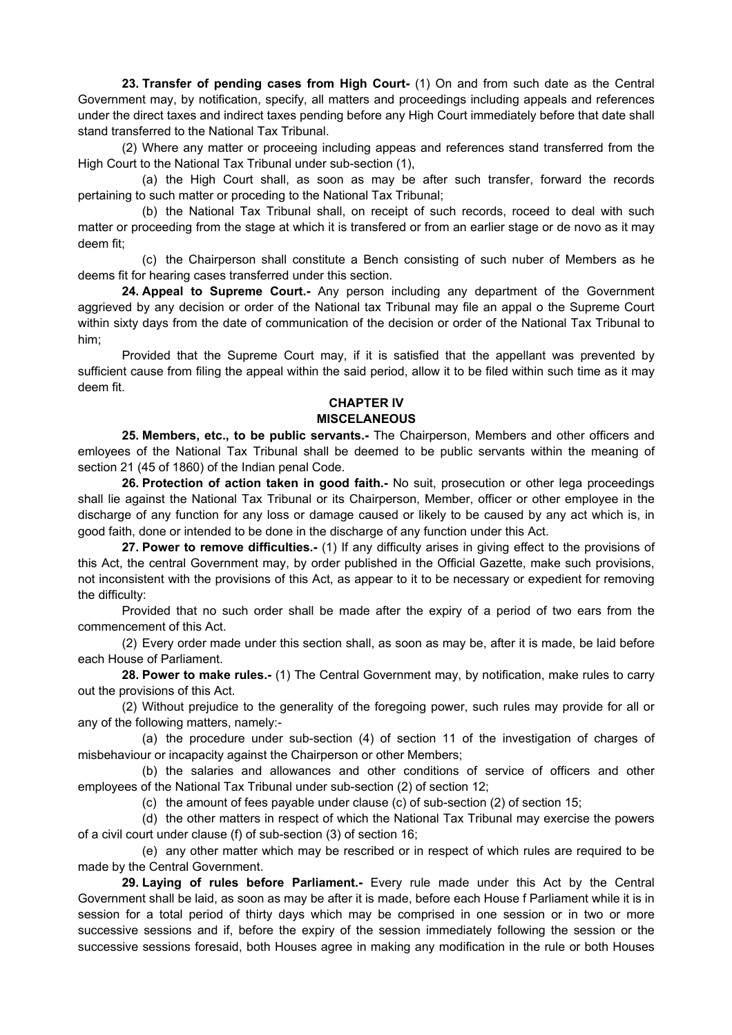**23. Transfer of pending cases from High Court-** (1) On and from such date as the Central Government may, by notification, specify, all matters and proceedings including appeals and references under the direct taxes and indirect taxes pending before any High Court immediately before that date shall stand transferred to the National Tax Tribunal.

(2) Where any matter or proceeing including appeas and references stand transferred from the High Court to the National Tax Tribunal under sub-section (1),

(a) the High Court shall, as soon as may be after such transfer, forward the records pertaining to such matter or proceding to the National Tax Tribunal;

(b) the National Tax Tribunal shall, on receipt of such records, roceed to deal with such matter or proceeding from the stage at which it is transfered or from an earlier stage or de novo as it may deem fit;

(c) the Chairperson shall constitute a Bench consisting of such nuber of Members as he deems fit for hearing cases transferred under this section.

**24. Appeal to Supreme Court.-** Any person including any department of the Government aggrieved by any decision or order of the National tax Tribunal may file an appal o the Supreme Court within sixty days from the date of communication of the decision or order of the National Tax Tribunal to him;

Provided that the Supreme Court may, if it is satisfied that the appellant was prevented by sufficient cause from filing the appeal within the said period, allow it to be filed within such time as it may deem fit.

#### **CHAPTER IV MISCELANEOUS**

**25. Members, etc., to be public servants.-** The Chairperson, Members and other officers and emloyees of the National Tax Tribunal shall be deemed to be public servants within the meaning of section 21 (45 of 1860) of the Indian penal Code.

**26. Protection of action taken in good faith.-** No suit, prosecution or other lega proceedings shall lie against the National Tax Tribunal or its Chairperson, Member, officer or other employee in the discharge of any function for any loss or damage caused or likely to be caused by any act which is, in good faith, done or intended to be done in the discharge of any function under this Act.

**27. Power to remove difficulties.-** (1) If any difficulty arises in giving effect to the provisions of this Act, the central Government may, by order published in the Official Gazette, make such provisions, not inconsistent with the provisions of this Act, as appear to it to be necessary or expedient for removing the difficulty:

Provided that no such order shall be made after the expiry of a period of two ears from the commencement of this Act.

(2) Every order made under this section shall, as soon as may be, after it is made, be laid before each House of Parliament.

**28. Power to make rules.-** (1) The Central Government may, by notification, make rules to carry out the provisions of this Act.

(2) Without prejudice to the generality of the foregoing power, such rules may provide for all or any of the following matters, namely:-

(a) the procedure under sub-section (4) of section 11 of the investigation of charges of misbehaviour or incapacity against the Chairperson or other Members;

(b) the salaries and allowances and other conditions of service of officers and other employees of the National Tax Tribunal under sub-section (2) of section 12;

(c) the amount of fees payable under clause (c) of sub-section (2) of section 15;

(d) the other matters in respect of which the National Tax Tribunal may exercise the powers of a civil court under clause (f) of sub-section (3) of section 16;

(e) any other matter which may be rescribed or in respect of which rules are required to be made by the Central Government.

**29. Laying of rules before Parliament.-** Every rule made under this Act by the Central Government shall be laid, as soon as may be after it is made, before each House f Parliament while it is in session for a total period of thirty days which may be comprised in one session or in two or more successive sessions and if, before the expiry of the session immediately following the session or the successive sessions foresaid, both Houses agree in making any modification in the rule or both Houses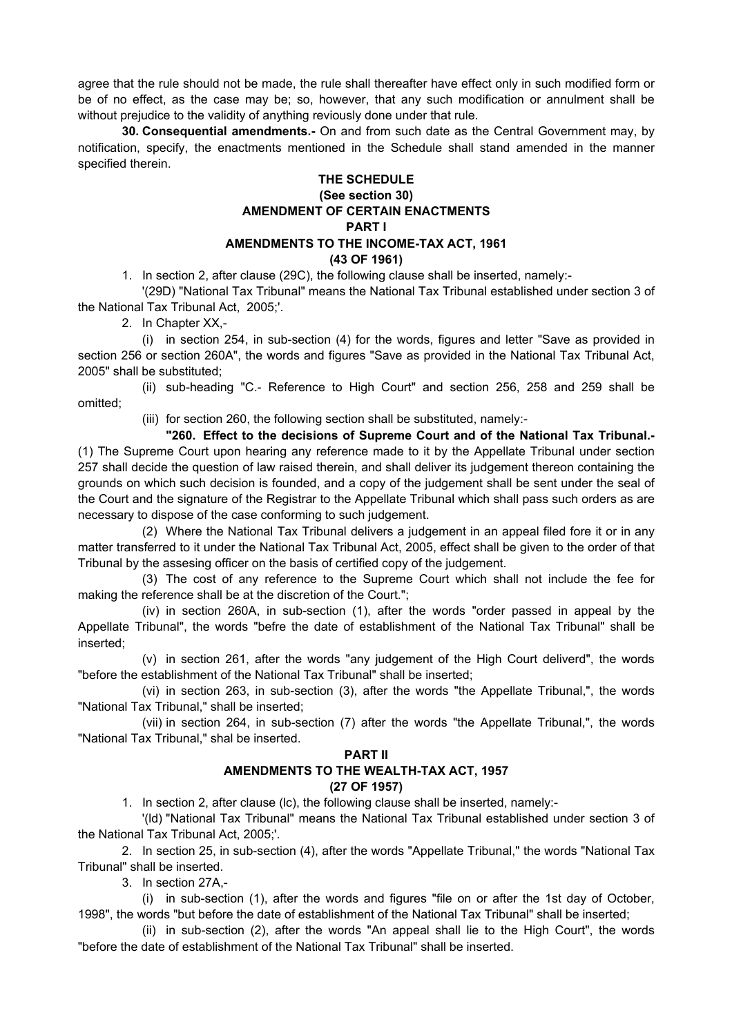agree that the rule should not be made, the rule shall thereafter have effect only in such modified form or be of no effect, as the case may be; so, however, that any such modification or annulment shall be without prejudice to the validity of anything reviously done under that rule.

**30. Consequential amendments.-** On and from such date as the Central Government may, by notification, specify, the enactments mentioned in the Schedule shall stand amended in the manner specified therein.

## **THE SCHEDULE (See section 30) AMENDMENT OF CERTAIN ENACTMENTS PART I AMENDMENTS TO THE INCOME-TAX ACT, 1961 (43 OF 1961)**

1. In section 2, after clause (29C), the following clause shall be inserted, namely:-

'(29D) "National Tax Tribunal" means the National Tax Tribunal established under section 3 of the National Tax Tribunal Act, 2005;'.

2. In Chapter XX,-

(i) in section 254, in sub-section (4) for the words, figures and letter "Save as provided in section 256 or section 260A", the words and figures "Save as provided in the National Tax Tribunal Act, 2005" shall be substituted;

(ii) sub-heading "C.- Reference to High Court" and section 256, 258 and 259 shall be omitted;

(iii) for section 260, the following section shall be substituted, namely:-

 **"260. Effect to the decisions of Supreme Court and of the National Tax Tribunal.-** (1) The Supreme Court upon hearing any reference made to it by the Appellate Tribunal under section 257 shall decide the question of law raised therein, and shall deliver its judgement thereon containing the grounds on which such decision is founded, and a copy of the judgement shall be sent under the seal of the Court and the signature of the Registrar to the Appellate Tribunal which shall pass such orders as are necessary to dispose of the case conforming to such judgement.

(2) Where the National Tax Tribunal delivers a judgement in an appeal filed fore it or in any matter transferred to it under the National Tax Tribunal Act, 2005, effect shall be given to the order of that Tribunal by the assesing officer on the basis of certified copy of the judgement.

(3) The cost of any reference to the Supreme Court which shall not include the fee for making the reference shall be at the discretion of the Court.";

(iv) in section 260A, in sub-section (1), after the words "order passed in appeal by the Appellate Tribunal", the words "befre the date of establishment of the National Tax Tribunal" shall be inserted;

(v) in section 261, after the words "any judgement of the High Court deliverd", the words "before the establishment of the National Tax Tribunal" shall be inserted;

(vi) in section 263, in sub-section (3), after the words "the Appellate Tribunal,", the words "National Tax Tribunal," shall be inserted;

(vii) in section 264, in sub-section (7) after the words "the Appellate Tribunal,", the words "National Tax Tribunal," shal be inserted.

#### **PART II**

## **AMENDMENTS TO THE WEALTH-TAX ACT, 1957 (27 OF 1957)**

1. In section 2, after clause (lc), the following clause shall be inserted, namely:-

'(ld) "National Tax Tribunal" means the National Tax Tribunal established under section 3 of the National Tax Tribunal Act, 2005;'.

2. In section 25, in sub-section (4), after the words "Appellate Tribunal," the words "National Tax Tribunal" shall be inserted.

3. In section 27A,-

(i) in sub-section (1), after the words and figures "file on or after the 1st day of October, 1998", the words "but before the date of establishment of the National Tax Tribunal" shall be inserted;

(ii) in sub-section (2), after the words "An appeal shall lie to the High Court", the words "before the date of establishment of the National Tax Tribunal" shall be inserted.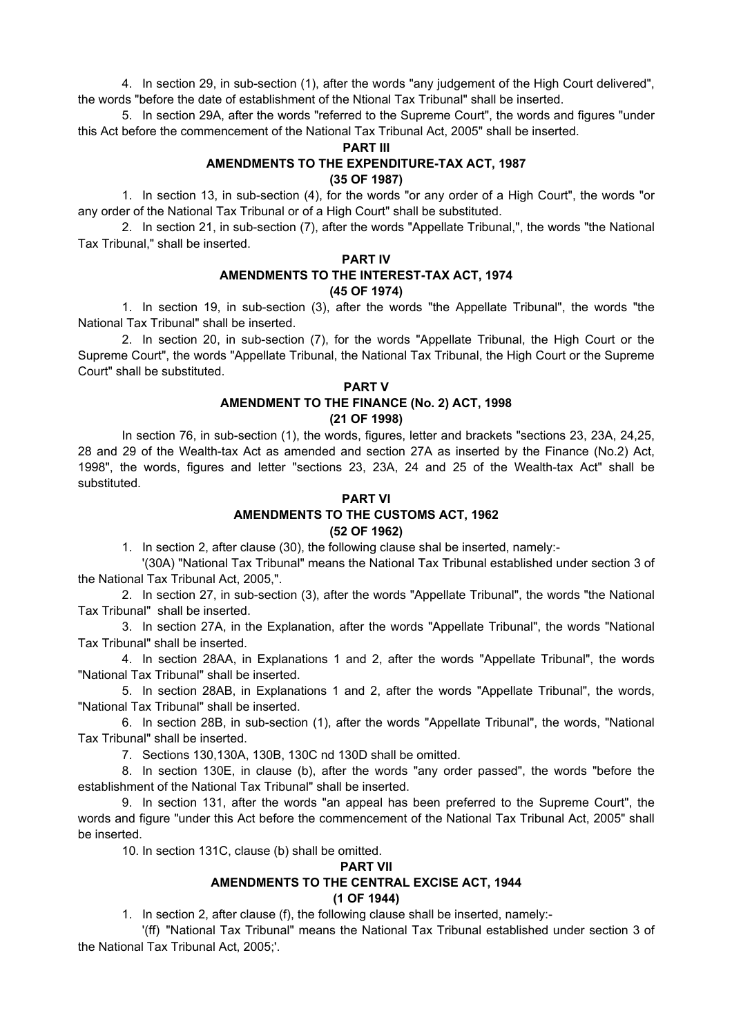4. In section 29, in sub-section (1), after the words "any judgement of the High Court delivered", the words "before the date of establishment of the Ntional Tax Tribunal" shall be inserted.

5. In section 29A, after the words "referred to the Supreme Court", the words and figures "under this Act before the commencement of the National Tax Tribunal Act, 2005" shall be inserted.

#### **PART III**

## **AMENDMENTS TO THE EXPENDITURE-TAX ACT, 1987 (35 OF 1987)**

1. In section 13, in sub-section (4), for the words "or any order of a High Court", the words "or any order of the National Tax Tribunal or of a High Court" shall be substituted.

2. In section 21, in sub-section (7), after the words "Appellate Tribunal,", the words "the National Tax Tribunal," shall be inserted.

## **PART IV**

#### **AMENDMENTS TO THE INTEREST-TAX ACT, 1974 (45 OF 1974)**

1. In section 19, in sub-section (3), after the words "the Appellate Tribunal", the words "the National Tax Tribunal" shall be inserted.

2. In section 20, in sub-section (7), for the words "Appellate Tribunal, the High Court or the Supreme Court", the words "Appellate Tribunal, the National Tax Tribunal, the High Court or the Supreme Court" shall be substituted.

#### **PART V**

### **AMENDMENT TO THE FINANCE (No. 2) ACT, 1998 (21 OF 1998)**

In section 76, in sub-section (1), the words, figures, letter and brackets "sections 23, 23A, 24,25, 28 and 29 of the Wealth-tax Act as amended and section 27A as inserted by the Finance (No.2) Act, 1998", the words, figures and letter "sections 23, 23A, 24 and 25 of the Wealth-tax Act" shall be substituted.

## **PART VI AMENDMENTS TO THE CUSTOMS ACT, 1962 (52 OF 1962)**

1. In section 2, after clause (30), the following clause shal be inserted, namely:-

'(30A) "National Tax Tribunal" means the National Tax Tribunal established under section 3 of the National Tax Tribunal Act, 2005,".

2. In section 27, in sub-section (3), after the words "Appellate Tribunal", the words "the National Tax Tribunal" shall be inserted.

3. In section 27A, in the Explanation, after the words "Appellate Tribunal", the words "National Tax Tribunal" shall be inserted.

4. In section 28AA, in Explanations 1 and 2, after the words "Appellate Tribunal", the words "National Tax Tribunal" shall be inserted.

5. In section 28AB, in Explanations 1 and 2, after the words "Appellate Tribunal", the words, "National Tax Tribunal" shall be inserted.

6. In section 28B, in sub-section (1), after the words "Appellate Tribunal", the words, "National Tax Tribunal" shall be inserted.

7. Sections 130,130A, 130B, 130C nd 130D shall be omitted.

8. In section 130E, in clause (b), after the words "any order passed", the words "before the establishment of the National Tax Tribunal" shall be inserted.

9. In section 131, after the words "an appeal has been preferred to the Supreme Court", the words and figure "under this Act before the commencement of the National Tax Tribunal Act, 2005" shall be inserted.

10. In section 131C, clause (b) shall be omitted.

### **PART VII AMENDMENTS TO THE CENTRAL EXCISE ACT, 1944 (1 OF 1944)**

1. In section 2, after clause (f), the following clause shall be inserted, namely:-

'(ff) "National Tax Tribunal" means the National Tax Tribunal established under section 3 of the National Tax Tribunal Act, 2005;'.